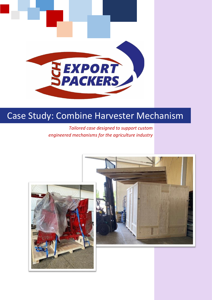

# Case Study: Combine Harvester Mechanism

*Tailored case designed to support custom engineered mechanisms for the agriculture industry*